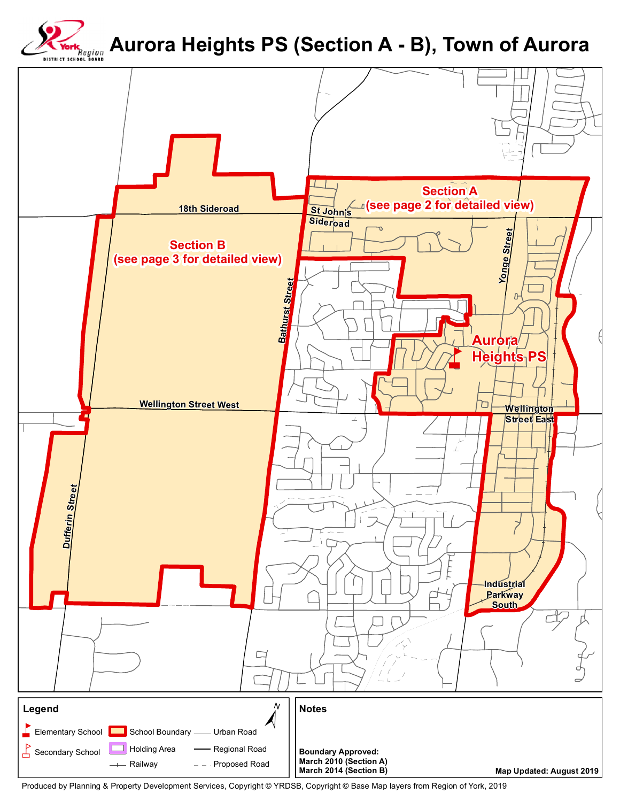

## **Aurora Heights PS (Section A - B), Town of Aurora**



Produced by Planning & Property Development Services, Copyright © YRDSB, Copyright © Base Map layers from Region of York, 2019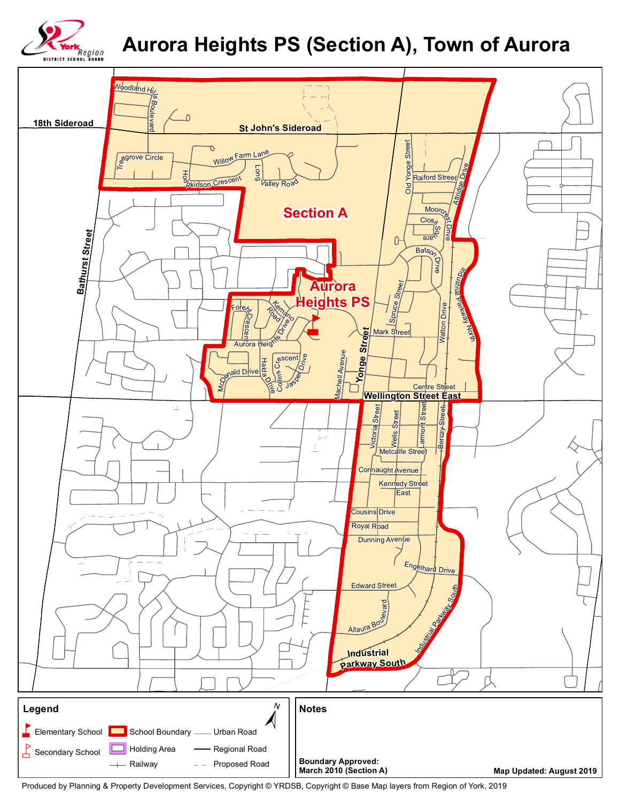

## **Aurora Heights PS (Section A), Town of Aurora**



Produced by Planning & Property Development Services, Copyright © YRDSB, Copyright © Base Map layers from Region of York, 2019